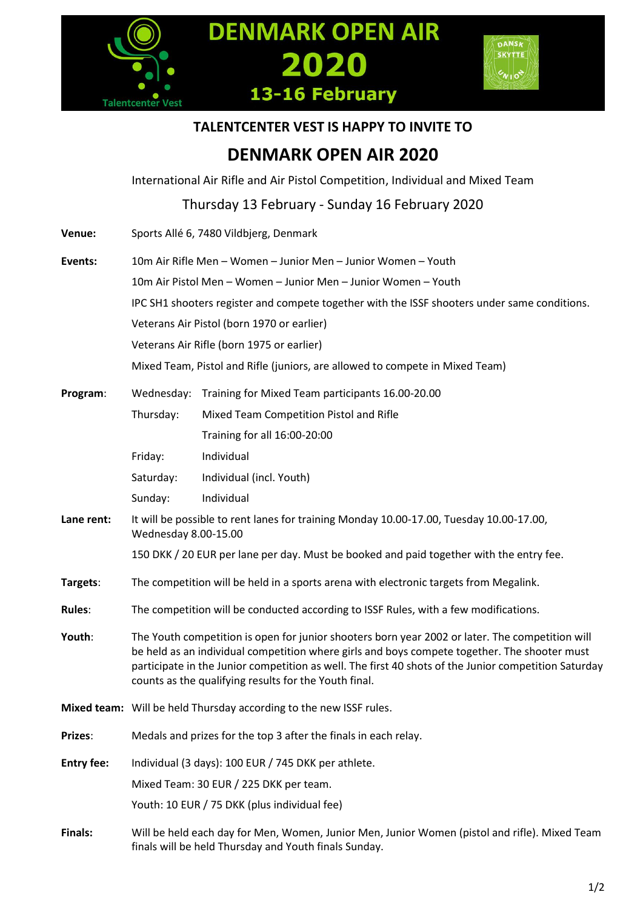





# **TALENTCENTER VEST IS HAPPY TO INVITE TO**

# **DENMARK OPEN AIR 2020**

International Air Rifle and Air Pistol Competition, Individual and Mixed Team

Thursday 13 February ‐ Sunday 16 February 2020

**Venue:** Sports Allé 6, 7480 Vildbjerg, Denmark **Events:** 10m Air Rifle Men – Women – Junior Men – Junior Women – Youth 10m Air Pistol Men – Women – Junior Men – Junior Women – Youth IPC SH1 shooters register and compete together with the ISSF shooters under same conditions. Veterans Air Pistol (born 1970 or earlier) Veterans Air Rifle (born 1975 or earlier) Mixed Team, Pistol and Rifle (juniors, are allowed to compete in Mixed Team) **Program**: Wednesday: Training for Mixed Team participants 16.00-20.00 Thursday: Mixed Team Competition Pistol and Rifle Training for all 16:00-20:00 Friday: Individual Saturday: Individual (incl. Youth) Sunday: Individual **Lane rent:** It will be possible to rent lanes for training Monday 10.00-17.00, Tuesday 10.00-17.00, Wednesday 8.00-15.00 150 DKK / 20 EUR per lane per day. Must be booked and paid together with the entry fee. **Targets**: The competition will be held in a sports arena with electronic targets from Megalink. **Rules**: The competition will be conducted according to ISSF Rules, with a few modifications. **Youth**: The Youth competition is open for junior shooters born year 2002 or later. The competition will be held as an individual competition where girls and boys compete together. The shooter must participate in the Junior competition as well. The first 40 shots of the Junior competition Saturday counts as the qualifying results for the Youth final. **Mixed team:** Will be held Thursday according to the new ISSF rules. **Prizes**: Medals and prizes for the top 3 after the finals in each relay. **Entry fee:** Individual (3 days): 100 EUR / 745 DKK per athlete. Mixed Team: 30 EUR / 225 DKK per team. Youth: 10 EUR / 75 DKK (plus individual fee) **Finals:** Will be held each day for Men, Women, Junior Men, Junior Women (pistol and rifle). Mixed Team finals will be held Thursday and Youth finals Sunday.